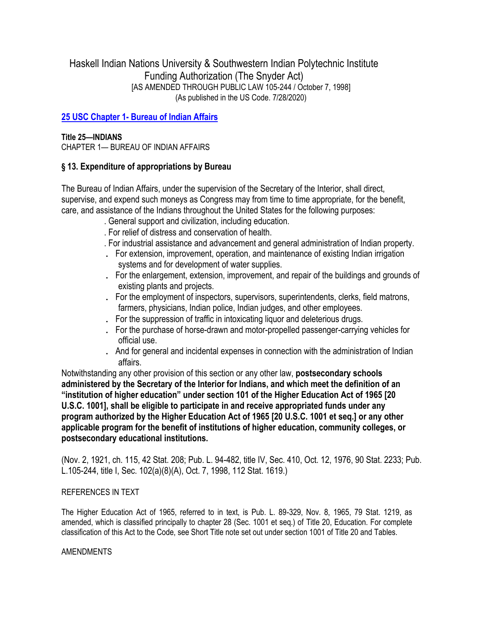Haskell Indian Nations University & Southwestern Indian Polytechnic Institute Funding Authorization (The Snyder Act) [AS AMENDED THROUGH PUBLIC LAW 105-244 / October 7, 1998] (As published in the US Code. 7/28/2020)

# **25 USC Chapter 1- [Bureau of Indian Affairs](https://uscode.house.gov/view.xhtml?path=/prelim@title25/chapter1&edition=prelim)**

## **Title 25—INDIANS**

CHAPTER 1— BUREAU OF INDIAN AFFAIRS

# **§ 13. Expenditure of appropriations by Bureau**

The Bureau of Indian Affairs, under the supervision of the Secretary of the Interior, shall direct, supervise, and expend such moneys as Congress may from time to time appropriate, for the benefit, care, and assistance of the Indians throughout the United States for the following purposes:

- . General support and civilization, including education.
- . For relief of distress and conservation of health.
- . For industrial assistance and advancement and general administration of Indian property.
- . For extension, improvement, operation, and maintenance of existing Indian irrigation systems and for development of water supplies.
- . For the enlargement, extension, improvement, and repair of the buildings and grounds of existing plants and projects.
- . For the employment of inspectors, supervisors, superintendents, clerks, field matrons, farmers, physicians, Indian police, Indian judges, and other employees.
- . For the suppression of traffic in intoxicating liquor and deleterious drugs.
- . For the purchase of horse-drawn and motor-propelled passenger-carrying vehicles for official use.
- . And for general and incidental expenses in connection with the administration of Indian affairs.

Notwithstanding any other provision of this section or any other law, **postsecondary schools administered by the Secretary of the Interior for Indians, and which meet the definition of an "institution of higher education" under section 101 of the Higher Education Act of 1965 [\[20](http://www.law.cornell.edu/uscode/html/uscode20/usc_sup_01_20.html)  U.S.C. [1001\]](http://www.law.cornell.edu/uscode/html/uscode20/usc_sec_20_00001001----000-.html), shall be eligible to participate in and receive appropriated funds under any program authorized by the Higher Education Act of 1965 [\[20 U](http://www.law.cornell.edu/uscode/html/uscode20/usc_sup_01_20.html).S.C. [1001 e](http://www.law.cornell.edu/uscode/html/uscode20/usc_sec_20_00001001----000-.html)t seq.] or any other applicable program for the benefit of institutions of higher education, community colleges, or postsecondary educational institutions.**

(Nov. 2, 1921, ch. 115, 42 Stat. 208; Pub. L. 94-482, title IV, Sec. 410, Oct. 12, 1976, 90 Stat. 2233; Pub. L.105-244, title I, Sec. 102(a)(8)(A), Oct. 7, 1998, 112 Stat. 1619.)

# REFERENCES IN TEXT

The Higher Education Act of 1965, referred to in text, is Pub. L. 89-329, Nov. 8, 1965, 79 Stat. 1219, as amended, which is classified principally to chapter 28 (Sec. 1001 et seq.) of Title 20, Education. For complete classification of this Act to the Code, see Short Title note set out under section 1001 of Title 20 and Tables.

### AMENDMENTS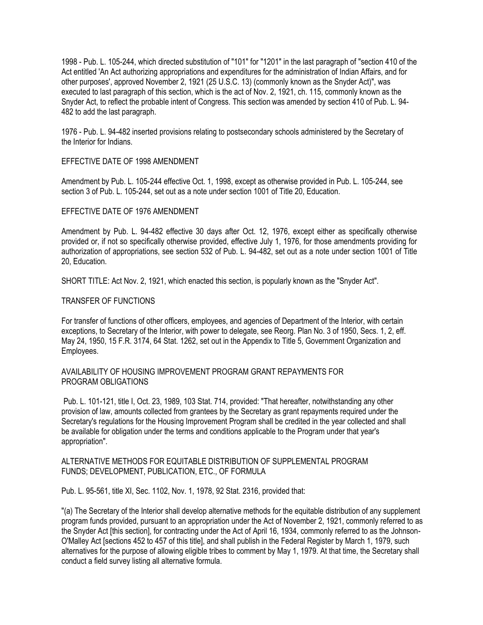1998 - Pub. L. 105-244, which directed substitution of "101" for "1201" in the last paragraph of "section 410 of the Act entitled 'An Act authorizing appropriations and expenditures for the administration of Indian Affairs, and for other purposes', approved November 2, 1921 (25 U.S.C. 13) (commonly known as the Snyder Act)", was executed to last paragraph of this section, which is the act of Nov. 2, 1921, ch. 115, commonly known as the Snyder Act, to reflect the probable intent of Congress. This section was amended by section 410 of Pub. L. 94- 482 to add the last paragraph.

1976 - Pub. L. 94-482 inserted provisions relating to postsecondary schools administered by the Secretary of the Interior for Indians.

### EFFECTIVE DATE OF 1998 AMENDMENT

Amendment by Pub. L. 105-244 effective Oct. 1, 1998, except as otherwise provided in Pub. L. 105-244, see section 3 of Pub. L. 105-244, set out as a note under section 1001 of Title 20, Education.

#### EFFECTIVE DATE OF 1976 AMENDMENT

Amendment by Pub. L. 94-482 effective 30 days after Oct. 12, 1976, except either as specifically otherwise provided or, if not so specifically otherwise provided, effective July 1, 1976, for those amendments providing for authorization of appropriations, see section 532 of Pub. L. 94-482, set out as a note under section 1001 of Title 20, Education.

SHORT TITLE: Act Nov. 2, 1921, which enacted this section, is popularly known as the "Snyder Act".

#### TRANSFER OF FUNCTIONS

For transfer of functions of other officers, employees, and agencies of Department of the Interior, with certain exceptions, to Secretary of the Interior, with power to delegate, see Reorg. Plan No. 3 of 1950, Secs. 1, 2, eff. May 24, 1950, 15 F.R. 3174, 64 Stat. 1262, set out in the Appendix to Title 5, Government Organization and Employees.

### AVAILABILITY OF HOUSING IMPROVEMENT PROGRAM GRANT REPAYMENTS FOR PROGRAM OBLIGATIONS

Pub. L. 101-121, title I, Oct. 23, 1989, 103 Stat. 714, provided: "That hereafter, notwithstanding any other provision of law, amounts collected from grantees by the Secretary as grant repayments required under the Secretary's regulations for the Housing Improvement Program shall be credited in the year collected and shall be available for obligation under the terms and conditions applicable to the Program under that year's appropriation".

#### ALTERNATIVE METHODS FOR EQUITABLE DISTRIBUTION OF SUPPLEMENTAL PROGRAM FUNDS; DEVELOPMENT, PUBLICATION, ETC., OF FORMULA

Pub. L. 95-561, title XI, Sec. 1102, Nov. 1, 1978, 92 Stat. 2316, provided that:

"(a) The Secretary of the Interior shall develop alternative methods for the equitable distribution of any supplement program funds provided, pursuant to an appropriation under the Act of November 2, 1921, commonly referred to as the Snyder Act [this section], for contracting under the Act of April 16, 1934, commonly referred to as the Johnson-O'Malley Act [sections 452 to 457 of this title], and shall publish in the Federal Register by March 1, 1979, such alternatives for the purpose of allowing eligible tribes to comment by May 1, 1979. At that time, the Secretary shall conduct a field survey listing all alternative formula.